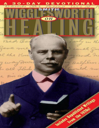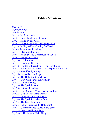# **Table of Contents**

*Title [Page](#page-3-0) [Copyright](#page-4-0) Page [Introduction](#page-5-0)* Day 1 - Far [Better](#page-7-0) to Go Day 2 - The Gift and Gifts of [Healing](#page-9-0) Day 3 - [Healed](#page-11-0) by His Word Day 4 - The Spirit [Manifests](#page-13-0) His Spirit in Us Day 5 - Healing [Without](#page-15-0) Laying On Hands Day 6 - [Salvation](#page-17-0) and Healing Day 7 - [Filled](#page-19-0) With the Spirit Day 8 - Healed by God's [Resurrection](#page-21-0) Touch Day 9 - [Casting](#page-23-0) Out Devils Day 10 - It Is [Finished](#page-25-0) Day 11 - [Hindering](#page-27-0) Evil Spirits Day 12 - Our Chief [Executive](#page-29-0) — The Holy Spirit Day 13 - Fullness of the Spirit — His [Baptism,](#page-31-0) His Best! Day 14 - [Sanctified](#page-33-0) by the Spirit Day 15 - [Healed](#page-35-0) By His Stripes Day 16 - The Holy Spirit [Quickens](#page-37-0) Day 17 - Why Wait on the Holy [Spirit?](#page-39-0) Day 18 - Divine [Healing](#page-41-0) Day 19 - The [Spirit](#page-43-0) in You Day 20 - Faith and [Healing](#page-45-0) Day 21 - Holy Spirit — Wind, [Person](#page-47-0) and Fire Day 22 - God [Doesn't](#page-49-0) Bring Disease Day 23 - Walk and Live in the [Spirit](#page-51-0) Day 24 - The Spirit [Reveals](#page-53-0) the Son Day 25 - The Life of the [Spirit](#page-55-0) Day 26 - Full of Faith and the Holy [Spirit](#page-57-0) Day 27 - Our [Inheritance](#page-59-0) Sealed in the Spirit Day 28 - [Intoxicated](#page-61-0) by the Spirit Day 29 - Is [Healing](#page-63-0) the Main Thing?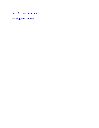Day 30 - [Unity](#page-65-0) in the Spirit

*The [Wigglesworth](#page-66-0) Series*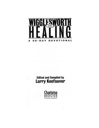<span id="page-3-0"></span>

**Edited and Compiled by<br>Larry Keefauver** 



 $-71$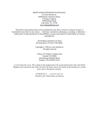SMITH WIGGLESWORTH ON HEALING by Larry Keefauver Published by Charisma House A Strang Company 600 Rinehart Road Lake Mary, FL 32746 [www.charismahouse.com](http://www.charismahouse.com)

<span id="page-4-0"></span>This book or parts thereof may not be reproduced in any form, stored in a retrieval system, or transmitted in any form by any means — electronic, mechanical, photocopy, recording, or otherwise without prior written permission of the publisher, except as provided by United States of America copyright law.

> All Scripture quotations are from the King James Version of the Bible.

Copyright © 1996 by Larry Keefauver All rights reserved

Library of Congress Catalog Card Number: 96-84888 International Standard Book Number: 978-0-88419-438-5

*A word about the cover: The writing in the background is the actual handwritten letter that Smith* Wigglesworth started the day before he died. His letter shares the details of the healing of a woman *from cancer through his ministry.*

> 07 08 09 10 11 — 17 16 15 14 13 12 *Printed in the United States of America*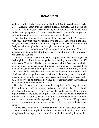# **Introduction**

<span id="page-5-0"></span>**W**elcome to this thirty-day journey of faith with Smith Wigglesworth. What is so intriguing about this uneducated English plumber? As I began my research, I found myself mesmerized by the original sermon notes, Bible studies and pamphlets of Smith Wiggles-worth. Delightful nuggets of spiritual truths filled those brown, aging pages from the past.

This devotional series shares some of the original Smith Wigglesworth with you. I pray that your relationship with the Lord, your walk in the Spirit and your intimacy with the Father will deepen as you read afresh the words God gave a humble plumber who brought revival to his generation.

We have kept our editing of Wigglesworth to a minimum. While his language may be unpolished at times, the force and power of his expression will speak to your life.

Called a "twentieth-century apostle," Wigglesworth became a legend as God mightily used him in an evangelistic and healing ministry. Born in 1859 in Menston, Yorkshire, England, he was converted in a Wesleyan Methodist meeting at age eight and pursued a career in plumbing. He married Polly Featherstone, and he and Polly operated a little mission in Bradford, England.

In 1907, Smith Wigglesworth received the baptism of the Holy Spirit, which radically changed him and transformed his ministry into a worldwide phenomenon. Literally thousands were saved and untold scores were healed by God's power as he preached powerful messages throughout the world. He went home to the Lord he loved in 1947.

He believed that every believer could be baptized in the Holy Spirit and that God could perform miracles today as He did in the early church. Wigglesworth preached to crowds around the world and saw God perform mighty miracles, including raising the dead. He had the unusual practice of often striking, or smiting, persons with a disease. He never sought any harm to the person. He was merely expressing his anger at the devil. Wigglesworth became the forerunner of the healing ministries that emerged in the twentieth century.

As you read this booklet, take time daily in God's Word. Each devotional contains a scripture, a principle about miracles and healing from Smith Wigglesworth, and a prayer to commit that meditation to reality in your life.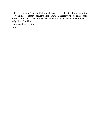I give praise to God the Father and Jesus Christ the Son for sending the Holy Spirit to inspire servants like Smith Wigglesworth to share such glorious truth and revelation so that mine and future generations might be truly blessed in Him! Larry Keefauver, editor 1996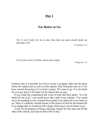#### **Far Better to Go**

<span id="page-7-0"></span>*For it were better for me to die, than that any man should make my glorying void.*

*1 Corinthians 9:15*

*For to me to live is Christ, and to die is gain.*

*Philippians 1:21*

**I** believe that it is possible for God to sweep a company right into the glory before the rapture just as well as at the rapture. May God grant unto us a very keen inward discerning of our heart's purity. We want to go. It is far better for us to go, but it is far better for the church that we stay.

If you could but comprehend this word of truth that Paul spoke, "It is far better for me to go," you would never take a pill or use a plaster. You would never do anything to save yourself from going if you believed it was better to go. There is a definite, inward motion of the power of God for the human life to so change that we would not lift a finger, believing it was far better to go.

"Lord, for the purpose of being a blessing, further for Thy sake and for the sake of the church, just keep us full of life to stay."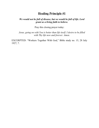# **Healing Principle #1**

#### *We would not be full of disease, but we would be full of life. Lord grant us a living faith to believe.*

Pray this closing prayer today:

*Jesus, going on with You is better than life itself. I desire to be filled with Thy life now and forever. Amen.*

EXCERPTED: "Workers Together With God," Bible study no. 15, 28 July 1927, 7.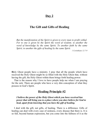#### <span id="page-9-0"></span>**The Gift and Gifts of Healing**

*But the manifestation of the Spirit is given to every man to profit withal. For to one is given by the Spirit the word of wisdom; to another the word of knowledge by the same Spirit; To another faith by the same Spirit; to another the gifts of healing by the same Spirit.*

*1 Corinthians 12:7-9*

**H**oly Ghost people have a ministry. I pray that all the people which have received the Holy Ghost might be so filled with the Holy Ghost that, without having the gift, the Holy Ghost within them brings forth healing power.

That is the reason why I love to have people help me when I am praying for the sick. There are people who have a very dim conception of what they possess in God's Spirit.

#### **Healing Principle #2**

*I believe the power of the Holy Ghost which you have received has power that will bring you to a place where you dare believe for God to heal, apart from knowing that you have the gift of healing.*

I deal with the gift, not gifts, of healing. There is a difference. Gifts of healing can deal with every case of sickness, every disease that there is. It is so full, beyond human expression, but you come into the fullness of it as the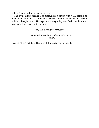light of God's healing reveals it to you.

The divine gift of healing is so profound in a person with it that there is no doubt and could not be. Whatever happens would not change the man's opinion, thought or act. He expects the very thing that God intends him to have as he lays hands on the seeker.

Pray this closing prayer today:

*Holy Spirit, use Your gift of healing in me. Amen.*

EXCERPTED: "Gifts of Healing," Bible study no. 16, n.d., 1.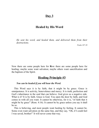#### <span id="page-11-0"></span>**Healed by His Word**

*He sent his word, and healed them, and delivered them from their destructions.*

*Psalm 107:20*

Now there are some people here for **R**ow there are some people here for healing; maybe some want salvation; maybe others want sanctification and the baptism of the Spirit.

#### **Healing Principle #3**

#### *You can be healed if you will hear the Word.*

This Word says it is by faith, that it might be by grace. Grace is omnipotence. It is activity, benevolence and mercy. It is truth, perfection and God's inheritance in the soul that can believe. God gives us a negative side. What is it? It is by faith. Grace is God. You open the door by faith, and God comes in with all you want. It cannot be otherwise, for it is, "of faith that it might be by grace" (Rom. 4:16). It cannot be by grace unless you say it shall be so.

This is believing, and most people want healing by feeling. It cannot be. Some even want salvation on the same line, and they say, "Oh, if I could feel I was saved, brother!" It will never come that way.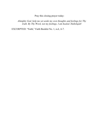Pray this closing prayer today:

*Almighty God, help me set aside my own thoughts and feelings for Thy truth. By Thy Word, not my feelings, I am healed. Hallelujah!*

EXCERPTED: "Faith," Faith Booklet No. 1, n.d., 6-7.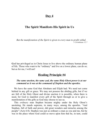### <span id="page-13-0"></span>**The Spirit Manifests His Spirit in Us**

*But the manifestation of the Spirit is given to every man to profit withal. 1 Corinthians 12:7*

**G**od has privileged us in Christ Jesus to live above the ordinary human plane of life. Those who want to be "ordinary" and live on a lower plane, can do so; but as for me, I will not!

### **Healing Principle #4**

#### *The same unction, the same zeal, the same Holy Ghost power is at our command as it was at the command of Stephen and the apostles.*

We have the same God that Abraham and Elijah had. We need not come behind in any gift or grace. We may not possess the abiding gifts, but if we are full of the Holy Ghost and divine unction it is possible, when there is need, for God to manifest every gift of the Spirit through us or to give a manifestation of the gifts as God may choose to use us.

This *ordinary* man Stephen became mighty under the Holy Ghost's anointing. He stands supreme, in many ways, among the apostles. "And Stephen, full of faith and power, did great wonders and miracles among the people" (Acts 6:8). Stephen was just as ordinary a man as you and me, but he was in the place where God could so move upon him that he, in turn, could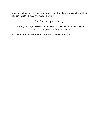move all before him. He began in a most humble place and ended in a blaze of glory. Beloved, *dare to believe in Christ!*

Pray this closing prayer today:

*Holy Spirit, empower me to go beyond the ordinary to the extraordinary through Thy power and unction. Amen.*

EXCERPTED: "Extraordinary," Faith Booklet No. 2, n.d., 3-4.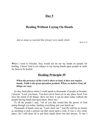### <span id="page-15-0"></span>**Healing Without Laying On Hands**

*And as many as touched him [Jesus] were made whole.*

*Mark 6:56*

**W**hen I went to Sweden, they would not let me lay hands on people for healing. I know God is not subject to my laying hands upon people in order for them to be healed.

#### **Healing Principle #5**

#### *When the presence of the Lord is there to heal, it does not require hands. Faith is the great operation position. When we believe God, all things are easy.*

So they built places where I could speak to thousands of people in Sweden. I prayed. "Lord, you know. You have never been yet in any place fixed. You have the mind of all things; show me how it can be done today without the people having hands laid upon them. Show me."

To all the people I said, "All of you that would like the power of God going through you today, healing everything, put your hands up."

Thousands of hands went up. "Lord, show me." And He told me as clearly as anything to pick a person out that stood upon a rock. It was a very rocky place. So I told them all to put their hands down but this person. To her I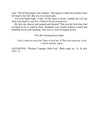said, "Tell all the people your troubles." She began to relate her troubles from her head to her feet. She was in so much pain.

"Lift your hands high," I said. "In the name of Jesus, I rebuke the evil one from your head to your feet. I believe He has loosed you."

Oh, how she danced and jumped and shouted! That was the first time God revealed to me it could be done. Hundreds were healed without a touch and hundreds saved with touching. Our God is a God of mighty power.

Pray this closing prayer today:

*Lord, I need no touch but Thine to heal me. If Thou but touch me, Lord, I will be healed. Amen.*

EXCERPTED: "Workers Together With God," Bible study no. 15, 28 July 1927, 13.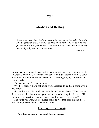#### <span id="page-17-0"></span>**Salvation and Healing**

*When Jesus saw their faith, he said unto the sick of the palsy, Son, thy sins be forgiven thee...But that ye may know that the Son of man hath power on earth to forgive sins...I say unto thee, Arise, and take up thy bed, and go thy way into thine house.*

*Mark 2:5,10-11*

**B**efore leaving home, I received a wire telling me that I should go to Liverpool. There was a woman with cancer and gall stones who was down with much discouragement. If I know God is sending me, my faith rises. God sent me to her.

The woman said, "I have no hope."

"Well," I said, "I have not come from Bradford to go back home with a bad report."

God said to me, "Establish her in the fact of the new birth." When she had the assurance that her sin was gone and she was born again, she said, "That [salvation] is everything to me. Cancer is nothing now. I have Jesus!"

The battle was won. God delivered her. She was free from sin and disease. She got up, dressed and was happy in Jesus.

#### **Healing Principle #6**

*When God speaks, it is as a nail in a sure place.*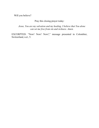Will you believe?

Pray this closing prayer today:

*Jesus, You are my salvation and my healing. I believe that You alone can set me free from sin and sickness. Amen.*

EXCERPTED: "Now! Now! Now!," message presented in Colombier, Switzerland, n.d., 5.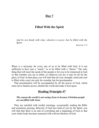#### <span id="page-19-0"></span>**Filled With the Spirit**

*And be not drunk with wine, wherein is excess; but be filled with the Spirit.*

*Ephesians 5:18*

**T**here is a necessity for every one of us to be filled with God. It is not sufficient to have just a "touch," or to be filled with a "desire." The only thing that will meet the needs of the people is for you to be immersed in God so that whether you eat or drink, or whatever you do, it may be all for the glory of God. In that place you will find that all your strength, mind and soul is filled with a zeal, not only for worship, but for proclamation.

That proclamation will be accompanied by all the power of God, which must move Satanic power, disturb the world and make it feel upset.

### **Healing Principle #7**

#### *The reason the world is not seeing Jesus is because Christian people are not filled with Jesus*

They are satisfied with weekly meetings, occasionally reading the Bible and sometimes praying. Beloved, if God lays hold of you by the Spirit, you will find that there is an end of everything and a beginning of God so that your whole body becomes seasoned with a divine likeness of God.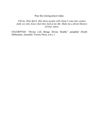Pray this closing prayer today:

*Fill me, Holy Spirit. May those people with whom I come into contact daily see only Jesus when they look at my life. Make me a divine likeness of God. Amen.*

EXCERPTED: "Divine Life Brings Divine Health," pamphlet (North Melbourne, Australia: Victory Press, n.d.), 1.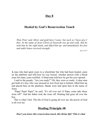#### <span id="page-21-0"></span>**Healed by God's Resurrection Touch**

*Then Peter said, Silver and gold have I none; but such as I have give I thee: In the name of Jesus Christ of Nazareth rise up and walk. And he took him by the right hand, and lifted him up: and immediately his feet and ankle bones received strength.*

*Acts 3:6-7*

**A** man who had spent years in a wheelchair but who had been healed, came on the platform and told how he was loosed. Another person with a blood issue for many years testified. A blind man told how he got his eyes opened.

I said to the people, "Are you ready?" Oh, they were so ready. A dear man got hold of a boy who was encased in iron from top to bottom, lifted him up and placed him on the platform. Hands were laid upon him in the name of Jesus.

"Papa! Papa! Papa!" he said. "It's all over me! O Papa, come take these irons off!" And the father took the irons off. Healing had gone all over the boy.

This is what I feel. The life of God is going all over me, the power of God is all over me

### **Healing Principle #8**

*Don't you know this resurrection touch, this divine life? This is what*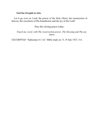#### *God has brought us into.*

Let it go over us, Lord, the power of the Holy Ghost, the resurrection of heaven, the sweetness of His benediction and the joy of the Lord!

Pray this closing prayer today:

*Touch me, Lord, with Thy resurrection power, Thy blessing and Thy joy. Amen.*

EXCERPTED: "Ephesians 4:1-16," Bible study no. 9, 19 July 1927, 5-6.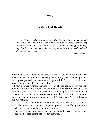#### **Casting Out Devils**

<span id="page-23-0"></span>*For he [Jesus] said unto him, Come out of the man, thou unclean spirit. And he asked him, What is thy name? And he answered, saying, My name is Legion: for we are many... And all the devils besought him, saying, Send us into the swine, that we may enter into them. And forthwith Jesus gave them leave.*

*Mark 5:8-9,12-13*

**A**fter many calls, letters and requests, I went to London. When I got there, the dear father and mother of the needy one took my hands, led me up onto a balcony and pointed to a door that was open a little. I went in that door and have never seen a sight like it in my life.

I saw a young woman, beautiful to look at, but she had four big men holding her down to the floor. Her clothing was torn from the struggle. Her eyes rolled, and she could not speak. She was exactly like that man who saw Jesus and ran out from the tombs. As soon as he got to Jesus, he couldn't speak, but the demon power spoke and said, "I know you. You can't cast us out. We are many."

"Yes," I said, "I know you are many, but my Lord Jesus will cast you all out." The power of Satan was so great upon this beautiful girl that she whirled and broke away from the four strong men.

The Spirit of the Lord was wonderful in me, and I went right up to her, looked into her face, seeing the evil powers there.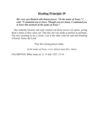# **Healing Principle #9**

*Her very eyes flashed with demon power. "In the name of Jesus, " I said, "I command you to leave. Though you are many, I command you to leave this moment in the name of Jesus."*

She instantly became sick and vomited out thirty-seven evil spirits, giving them a name as they came out. That day she was made as perfect as anybody. The next morning at ten o'clock, I sat at the table with her and had breaking of bread. Praise the Lord!

Pray this closing prayer today:

*At the name of Jesus, every demon must flee. Amen.*

EXCERPTED: Bible study no. 8, 15 July 1927, 15-16.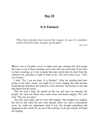#### **It Is Finished**

<span id="page-25-0"></span>*When Jesus therefore had received the vinegar, he said, It is finished: and he bowed his head, and gave up the ghost.*

*John 19:30*

**W**hen I was in Cazadero seven or eight years ago, amongst the first people that came to me in those meetings was a man who was stone deaf. Every time we had a meeting, as I rose to speak this man would take his chair from the ordinary row and place it right in front of me. The devil used to say, "Now you're done."

I said, "No, I am not done. It is finished." After the meeting had been going on for three weeks, one night as we were singing this man became tremendously disturbed. He looked in every direction. He became as one that had almost lost his mind.

Then he took a leap. He started on the run and went out amongst the people. He went out about sixty yards away and heard singing. The Lord said, "Thy ears are open."

The man came back, and we were still singing. That stopped our singing. He told us that when his ears were opened, there was such a tremendous noise, he could not understand what it was. He thought something had happened to the world. He ran out of the meeting. As he got outside, he heard the singing.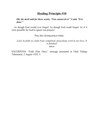# **Healing Principle #10**

#### *Oh, the devil said for three weeks, "You cannot do it." I said, "It is done."*

As though God would ever forget! As though God could forget! As if it were possible for God to ignore our prayers!

Pray this closing prayer today:

*Lord, by faith we claim Your completed, miraculous work in our lives. It is finished! Amen.*

EXCERPTED: "Faith (Part One)," message presented at Glad Tidings Tabernacle, 2 August 1922, 5.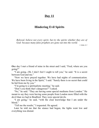### <span id="page-27-0"></span>**Hindering Evil Spirits**

*Beloved, believe not every spirit, but try the spirits whether they are of God: because many false prophets are gone out into the world.*

*1 John 4:1*

**O**ne day I met a friend of mine in the street and I said, "Fred, where are you going?"

"I am going...Oh, I don't feel I ought to tell you," he said. "It is a secret between God and me."

"Now we have prayed together. We have had nights of communication. We have been living in the Spirit," I said. "Surely there is no secret that could be hid from me by you."

"I'm going to a spiritualistic meeting," he said.

"Don't you think that's dangerous?" I asked.

"No," he said. "They are having some special mediums from London." He meant to say they were having some people from London more filled with the devil than we had in Bradford. They were special devils.

"I am going," he said, "with the clear knowledge that I am under the blood."

"Tell me the results," I requested. He agreed.

Later he told me that the séance had begun, the lights went low and everything was dismal.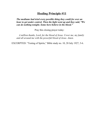# **Healing Principle #11**

*The mediums had tried every possible thing they could for over an hour to get under control. Then the light went up and they said, "We can do nothing tonight. Some here believe in the blood."*

Pray this closing prayer today:

*A million thanks, Lord, for the blood of Jesus. Cover me, my family and all around me with the powerful blood of Jesus. Amen.*

EXCERPTED: "Testing of Spirits," Bible study no. 10, 20 July 1927, 5-6.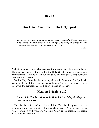## <span id="page-29-0"></span>**Our Chief Executive — The Holy Spirit**

*But the Comforter, which is the Holy Ghost, whom the Father will send in my name, he shall teach you all things, and bring all things to your remembrance, whatsoever I have said unto you.*

*John 14:26*

**A** chief executive is one who has a right to declare everything on the board. The chief executive in the world is the Holy Ghost. He is here today as a communicant to our hearts, to our minds, to our thoughts, saying whatever God wants us to know.

So this Holy Executive in us can speak wonderful words. The Spirit will teach you, bring all things to your remembrance. You need not have any man teach you, but the unction abideth and you need no teachers.

### **Healing Principle #12**

#### *You need the Teacher, which is the Holy Spirit, to bring all things to your remembrance.*

This is the office of the Holy Spirit. This is the power of His communication. This is what Paul means when he says, "God is love." Jesus, who is grace, is with you. But the Holy Ghost is the speaker. He speaks everything concerning Jesus.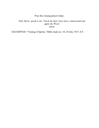Pray this closing prayer today:

*Holy Spirit, speak to me. Teach me that I may know, understand and apply the Word. Amen.*

EXCERPTED: "Testing of Spirits," Bible study no. 10, 20 July 1927, 8-9.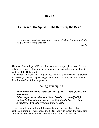## <span id="page-31-0"></span>**Fullness of the Spirit — His Baptism, His Best!**

*For John truly baptized with water; but ye shall be baptized with the Holy Ghost not many days hence.*

*Acts 1:5*

**T**here are three things in life, and I notice that many people are satisfied with only one. There is blessing in justification; in sanctification; and in the baptism of the Holy Spirit.

Salvation is a wonderful thing, and we know it. Sanctification is a process that takes you on to a higher height with God. Salvation, sanctification and the fullness of the Spirit are processes

#### **Healing Principle #13**

*Any number of people are satisfied with "good" — that is justification or salvation. Other people are satisfied with "better" — that is a sanctified life, purified by God. Other people are satisfied with the "best" — that is the fulless of God with revelation from on high.*

So I come to you with the fullness of God in the Holy Spirit through His baptism. I come not with good, but better; not with better, but with best. Continue to grow and improve spiritually. Keep going on with God.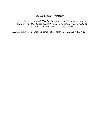Pray this closing prayer today:

*Heavenly Father, I thank Thee for the goodness of Thy salvation and the going on with Thee through sanctification, the baptism of Thy Spirit and the fullness of Thee in my total being. Amen.*

EXCERPTED: "Temptation Endured," Bible study no. 12, 22 July 1927, 12.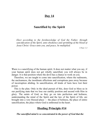## <span id="page-33-0"></span>**Sanctified by the Spirit**

*Elect according to the foreknowledge of God the Father, through sanctification of the Spirit, unto obedience and sprinkling of the blood of Jesus Christ: Grace unto you, and peace, be multiplied.*

*1 Peter 1:2*

**T**here is a sanctifying of the human spirit. It does not matter what you say, if your human spirit does not get wholly sanctified, you will always be in danger. It is that position where the devil has a chance to work on you.

Therefore, we are taught to come into sanctification, where the rudiments, the uncleanness, the inordinate affections and corruptions pass away because of incorruption abiding. In sanctification, all kinds of lusts have lost their power.

This is the plan. Only in the ideal pursuit of this, does God so bless us in our purifying state that we lose our earthly position and ascend with Him in glory. The saints of God, as they go on into perfection and holiness, understanding the mind of the Spirit and the law of the Spirit of life, are brought into a very blessed place — the place of holiness, the place of entire sanctification, the place where God is enthroned in the heart.

### **Healing Principle #14**

*The sanctified mind is so concentrated in the power of God that the*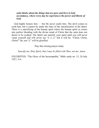#### *saint thinks about the things that are pure and lives in holy ascendancy, where every day he experiences the power and liberty of God.*

God highly honors him — but He never exalts him. The devil comes to exalt him, but it cannot be under the lines of the sanctification of the Spirit. There is a sanctifying of the human spirit where the human spirit so comes into perfect blending with the divine mind of Christ that the saint does not desire to be exalted. The Spirit can sanctify your spirit until you will never vaunt yourself and will never say "I...I...I," but it will be, "Christ, Christ, Christ!" He, not "I," will be glorified.

Pray this closing prayer today:

*Sanctify me, Holy Spirit, that I may be filled with Thee, not me. Amen.*

EXCERPTED: "The Glory of the Incorruptible," Bible study no. 13, 26 July 1927, 5-6.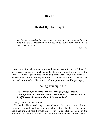#### <span id="page-35-0"></span>**Healed By His Stripes**

*But he was wounded for our transgressions, he was bruised for our iniquities: the chastisement of our peace was upon him; and with his stripes we are healed.*

*Isaiah 53:5*

**I** went to visit a sick woman whose address was given to me in Belfast. At her house, a young man met me at the door and pointed me to go up the stairway. When I got up onto the landing, there was a door wide open, so I walked right into the doorway and found a woman sitting up on the bed. As soon as I looked at her, I knew she couldn't speak to me, so I began to pray.

#### **Healing Principle #15**

*She was moving backwards and forwards, gasping for breath. When I prayed the Lord said to me, "Read Isaiah 53." When I got to the fifth verse, the woman shouted, "I am healed!"*

"Oh," I said, "woman tell me."

She said, "Three weeks ago I was cleaning the house. I moved some furniture, strained my heart and moved it out of its place. The doctors examined me and said I would die of suffocation. But last night, in the middle of the night, I saw you come into my room. When you saw me you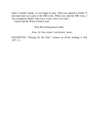knew I couldn't speak, so you began to pray. Then you opened to Isaiah 53 and read until you came to the fifth verse. When you read the fifth verse, I was completely healed. That was a vision. Now it is a fact."

I know that the Word of God is true!

Pray this closing prayer today:

*Jesus, by Your stripes I am healed. Amen.*

EXCERPTED: "Praying for the Sick," sermon on divine healing, 6 July 1927, 11.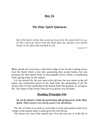### <span id="page-37-0"></span>**The Holy Spirit Quickens**

*But if the Spirit of him that raised up Jesus from the dead dwell in you, he that raised up Christ from the dead shall also quicken your mortal bodies by his Spirit that dwelleth in you.*

*Romans 8:11*

**M**any people are receiving a clear know-ledge of an inward working power from the Spirit which is not only quickening their mortal bodies, but also pressing into that natural body an incorruptible power which is manifesting itself, getting ready for the rapture.

It is the inward life, the new man in the old man, the new nature in the old nature, the resurrection power in the dead form, the quickening of all, the divine order of God manifested in the human body that quickens us, giving us life. The nature of the living Christ gives us power over all death.

#### **Healing Principle #16**

*Do not be afraid to claim the quickening, life-giving power of the Holy Spirit. That is power over all sin, power over all disease.*

The life of Christ is at work in your body to form and quicken until every vestige of the natural order is eaten up by the Life Divine.

The former law was of the natural man. Now the new law is of the life of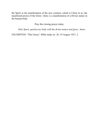the Spirit or the manifestation of the new creation, which is Christ in us, the manifested power of the Glory. Glory is a manifestation of a Divine nature in the human body.

Pray this closing prayer today:

*Holy Spirit, quicken my body with thy divine nature and glory. Amen.*

EXCERPTED: "This Grace," Bible study no. 26, 19 August 1927, 2.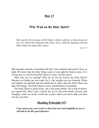#### <span id="page-39-0"></span>**Why Wait on the Holy Spirit?**

*But wait for the promise of the Father, which, saith he, ye have heard of me. For John truly baptized with water; but ye shall be baptized with the Holy Ghost not many days hence.*

*Acts 1:4-5*

**T**he disciples tarried at Jerusalem till they were endued with power from on high. We know that the Holy Ghost came. It was right for them to tarry. It is wrong now to wait for the Holy Ghost to come. He has come!

Then why are we waiting? Why do we not all receive the Holy Ghost? Because our bodies are not ready for it. Our temples are not cleansed. When our temples are purified and our minds put in order, then the Holy Ghost can take full charge. The Holy Ghost is not a manifestation of carnality.

The Holy Ghost is most lovely. He is the great refiner. He is full of divine, not natural life. Don't wait. I desire for you to lift your minds, elevate your thoughts, come out of the world into a place where you know that you have rest for your feet.

#### **Healing Principle #17**

*Cease from your own works so that God can work mightily in you to will and to do His good pleasure.*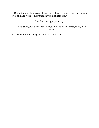Desire the inrushing river of the Holy Ghost — a pure, holy and divine river of living water to flow through you. Not later. Now!

Pray this closing prayer today:

*Holy Spirit, purify my heart, my life. Flow in me and through me, now. Amen.*

EXCERPTED: A teaching on John 7:37-39, n.d., 3.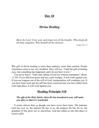### **Divine Healing**

<span id="page-41-0"></span>*Bless the Lord, O my soul, and forget not all his benefits: Who forgiveth all thine iniquities; Who healeth all thy diseases.*

*Psalm 103:2-3*

**T**he gift of divine healing is more than audacity, more than unction. People sometimes come to me very troubled. They will say, "I had the gift of healing once, but something has happened, and I do not have it now."

You never had it. "Gifts and calling of God are without repentance" (Rom. 11:29). If you fall from grace and use a gift wrongly, it will work against you. If you use tongues out of the will of God, interpretation will condemn you. If you have been used and the gift has been exercised and you have fallen from your high place, it will work against you.

#### **Healing Principle #18**

#### *The gift of the Holy Spirit, when He has breathed in you, will make you alive so that it is wonderful.*

It seems almost then as though you have never been born. The jealousy God has over us, the interest He has in us, the purpose He has for us, the grandeur of His glory are so marvelous. God has called us into this place to receive gifts.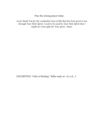Pray this closing prayer today:

*Lord, thank You for the wonderful sense of life that has been given to me through Your Holy Spirit. I seek to be used by Your Holy Spirit that I might use Your gifts for Your glory. Amen.*

EXCERPTED: "Gifts of Healing," Bible study no. 16, n.d., 3.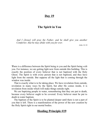#### **The Spirit in You**

<span id="page-43-0"></span>*And I [Jesus] will pray the Father, and he shall give you another Comforter, that he may abide with you for ever.*

*John 14:16*

**T**here is a difference between the Spirit being *in* you and the Spirit being *with* you. For instance, we are getting light now from outside this building. This is exactly the position of every believer that is not baptized with the Holy Ghost. The Spirit is with every person that is not baptized, and they have light from the outside. But suppose all the light that is coming through the window was inside.

That is exactly what is to be taking place. We have revelation from outside, revelation in many ways by the Spirit, but after He comes inside, it is revelation from inside which will make things outside right.

We are baptizing people in water, remembering that they are put to death, because every believer ought to be covered. Every believer must be put to death in water baptism.

The baptism of the Spirit is to be planted deeper until there is not a part of you that is left. There is a manifestation of the power of the new creation by the Holy Spirit right in our mortal bodies.

## **Healing Principle #19**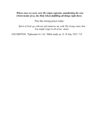#### *Where once we were, now He reigns supreme, manifesting the very Christ inside of us, the Holy Ghost fulfilling all things right there.*

Pray this closing prayer today:

*Spirit of God, go with me and immerse me with Thy living water that You might reign in all of me. Amen.*

EXCERPTED: "Ephesians 4:1-16," Bible study no. 9, 19 July 1927, 7-8.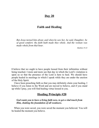#### **Faith and Healing**

<span id="page-45-0"></span>*But Jesus turned him about, and when he saw her, he said, Daughter, be of good comfort; thy faith hath made thee whole. And the woman was made whole from that hour.*

*Matthew 9:22*

**I** believe that we ought to have people loosed from their infirmities without being touched. I more and more see that day in which the Lord's visitation is upon us so that the presence of the Lord is here to heal. We should have people healed in meetings in which I speak while they are under the unction of the Holy Spirit.

I have been preaching faith so that you may definitely claim your healing. I believe if you listen to the Word and are moved to believe, and if you stand up while I pray, you will find healing virtue loosed in you.

#### **Healing Principle #20**

*God wants you to have a living faith now, to get a vital touch from Him, shaking the foundation of all weakness.*

When you were saved, you were saved the moment you believed. You will be healed the moment you believe.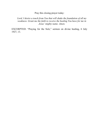Pray this closing prayer today:

*Lord, I desire a touch from You that will shake the foundation of all my weakness. Grant me the faith to receive the healing You have for me in Jesus' mighty name. Amen.*

EXCERPTED: "Praying for the Sick," sermon on divine healing, 6 July 1927, 13.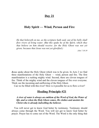### <span id="page-47-0"></span>**Holy Spirit — Wind, Person and Fire**

*He that believeth on me, as the scripture hath said, out of his belly shall flow rivers of living water. (But this spake he of the Spirit, which they that believe on him should receive: for the Holy Ghost was not yet given; because that Jesus was not yet glorified.)*

*John 7:38-39*

**Jesus spoke about the Holy Ghost which was to be given. In Acts 2 we find** three manifestations of the Holy Ghost — wind, person and fire. The first manifestation is a rushing mighty wind. Second, there are cloven tongues of fire. Think of the mighty wind and the cloven tongues of fire over everyone. Third, see the incoming and outflowing of the Holy Ghost.

Can we be filled with this river? How is it possible for us to flow a river?

### **Healing Principle #21**

*A river of water is always an emblem of the Word of God, the Water of life, and so when the Holy Ghost comes, He clothes and anoints the Christ who is already indwelling the believer.*

You will never get to know God better by testimony. Testimony should always come through the Word. You will not get to know God better by prayer. Prayer has to come out of the Word. The Word is the only thing that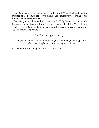reveals God and is going to be helpful in the world. When the breath and the presence of God comes, the Holy Spirit speaks expressively according to the mind of the Father and the Son.

So when you are filled with the person of the Holy Ghost, then the breath, the power, the unction, the fire of the Spirit takes hold of the Word of Life, which is Christ. God wants to fill you with that divine power so that out of you will flow living waters.

Pray this closing prayer today:

*Oh fire, wind and person of the Holy Spirit, out of me flow living waters that others might know Jesus through me. Amen.*

EXCERPTED: A teaching on John 7:37-39, n.d., 3-4.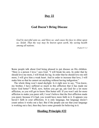#### <span id="page-49-0"></span>**God Doesn't Bring Disease**

*God be merciful unto us, and bless us; and cause his face to shine upon us; Selah. That thy way may be known upon earth, thy saving health among all nations.*

*Psalm 67:1-2*

**S**ome people talk about God being pleased to put disease on His children. "Here is a person I love," says God. "I will break his arm. In order that he should love me more, I will break his leg. In order that he should love me still more, I will give him a weak heart. And in order to increase that love, I will make him so that he cannot eat anything without having indigestion."

The whole thing won't stand daylight. Is it right now to say, "You know, my brother, I have suffered so much in this affliction that it has made me know God better"? Well, now, before you get up, ask God for a lot more affliction, so you will get to know Him better still. If you won't ask for more affliction to make you purer still, I won't believe that the first affliction made you purer; because if it had, you would have more faith in it. It appears you haven't faith in your afflictions. It is only language, but language doesn't count unless it works out a fact. But if the people can see that your language is working out a fact, then they have some grounds for believing in it.

### **Healing Principle #22**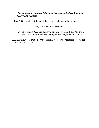#### *I have looked through my Bible, and I cannot find where God brings disease and sickness.*

It isn't God at all, but the devil that brings sickness and disease.

Pray this closing prayer today:

*In Jesus' name, I rebuke disease and sickness. Lord God, You are the Great Physician. I declare healing in Your mighty name. Amen.*

EXCERPTED: "Christ in Us," pamphlet (North Melbourne, Australia: Victory Press, n.d.), 9-10.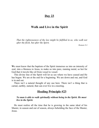#### <span id="page-51-0"></span>**Walk and Live in the Spirit**

*That the righteousness of the law might be fulfilled in us, who walk not after the flesh, but after the Spirit.*

*Romans 8:4*

**W**e must know that the baptism of the Spirit immerses us into an intensity of zeal, into a likeness to Jesus, to make us into pure, running metal, so hot for God that it travels like oil from vessel to vessel.

This divine line of the Spirit will let us see where we have ceased and He has begun. We are at the end for a beginning. We are down and out, and God is in and out.

There isn't a natural thought of any use here. There isn't a thing that is carnal, earthly, natural, that can ever live in a meeting.

#### **Healing Principle #23**

*No man is able to walk spiritually without being in the Spirit. He must live in the Spirit.*

He must realize all the time that he is growing in the same ideal of his Master, in season and out of season, always beholding the face of the Master, Jesus.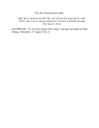Pray this closing prayer today:

*Holy Spirit, immerse me that Thy zeal will run hot in my life for Jesus Christ. May I never stop growing more and more Christlike through Your power. Amen.*

EXCERPTED: "Ye Are Our Epistle (Part One)," message presented at Glad Tidings Tabernacle, 23 August 1922, 4.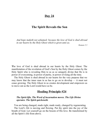#### <span id="page-53-0"></span>**The Spirit Reveals the Son**

*And hope maketh not ashamed; because the love of God is shed abroad in our hearts by the Holy Ghost which is given unto us.*

*Romans 5:5*

**T**he love of God is shed abroad in our hearts by the Holy Ghost. The manifestation of the revelation of God's Son by the Holy Ghost comes by the Holy Spirit who is revealing Him to us as so uniquely divine that He is in power of overcoming, in power of purity, in power of rising all the time.

The Holy Ghost is shed abroad in our hearts for the very purpose that we may know that the inner man in us has to go on to develop — it must not cease growing. The Holy Ghost in us creates development and empowers us to move out as the Lord would have us be.

#### **Healing Principle #24**

*The Spirit lifts. The Word of incarnation moves. The Life Divine operates. The Spirit quickeneth.*

You are being changed, made right, made ready, changed by regenerating. The Lord's life is moving and flowing. Put thy spirit into the joy of the breath of God. Let yourself go on the bosom of His love. Be transformed by all the Spirit's life from above.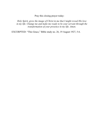Pray this closing prayer today:

*Holy Spirit, grow the image of Christ in me that I might reveal His love in my life. Change me and make me ready to be your servant through the transformation of your presence in my life. Amen.*

EXCERPTED: "This Grace," Bible study no. 26, 19 August 1927, 5-6.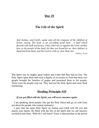## <span id="page-55-0"></span>**The Life of the Spirit**

*And Joshua...and Caleb...spake unto all the company of the children of Israel, saying, The land...is an exceeding good land.... a land which floweth with milk and honey. Only rebel not ye against the Lord, neither fear ye the people of the land; for they are bread for us: their defence is departed from them, and the Lord is with us: fear them not.*

*Numbers 14:6-9*

**T**he Spirit was so mighty upon Joshua and Caleb that they had no fear. The Holy Spirit upon them had such a dignity of reverence to God that these two people brought the bunches of grapes and presented them to the people. There were ten people sent out. They had not the Holy Spirit and came back murmuring.

## **Healing Principle #25**

#### *If you get filled with the Spirit, you will never murmur again.*

I am speaking about people who get the Holy Ghost and go on with God, not about the people who remain stationery.

I pray that the same Holy Spirit on Joshua and Caleb will fill you and search your hearts. Be filled with the life of the Spirit that we call unction, revelation and force. What do I call force? Force is that position in the power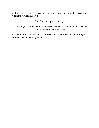of the Spirit where, instead of wavering, you go through. Instead of judgment, you receive truth.

#### Pray this closing prayer today:

*Holy Spirit, fill me with Thy boldness and power to go on with Thee and not to waver or murmur. Amen.*

EXCERPTED: "Possession of the Rest," message presented in Wellington, New Zealand, 14 January 1924, 3.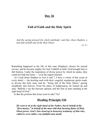#### <span id="page-57-0"></span>**Full of Faith and the Holy Spirit**

*And the saying pleased the whole multitude: and they chose Stephen, a man full of faith and of the Holy Ghost.*

*Acts 6:5*

**S**omething happened in the life of this man [Stephen], chosen for menial service, and he became mighty for God. Faithful in little, God brought him to full fruition. Under the inspiration of divine power by which he spoke, they could not help but listen — even the angels listened.

As I read about Stephen in Acts 6 and 7, I have a vision of this scene in every detail — the howling mob with their vengeful, murderous spirits ready to devour this holy man; and he, "being full of the Holy Ghost," gazing steadfastly into heaven. From his place of helplessness, he looked up and said, "Behold, I see the heavens opened, and the Son of man standing at the right hand of God."

Is that the position that Jesus went to take? No!

#### **Healing Principle #26**

*He went to sit at the right hand of the Father; but in behalf of the "first martyr, " in behalf of the man with that burning flame of Holy Ghost power, God's Son stood up in honorary testimony of him who, called to serve tables, was faithful unto death.*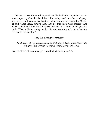This man chosen for an ordinary task but filled with the Holy Ghost was so moved upon by God that he finished his earthly work in a blaze of glory, magnifying God with his last breath. Looking up into the face of the Master, he said, "Lord Jesus, forgive them! Lay not this sin to their charge!" And when he had said thus, he fell asleep. Friends, it is worth all to gain that spirit. What a divine ending to the life and testimony of a man that was "chosen to serve tables."

Pray this closing prayer today:

*Lord Jesus, fill me with faith and the Holy Spirit, that I might blaze with Thy glory like Stephen no matter what I face in life. Amen.*

EXCERPTED: "Extraordinary," Faith Booklet No. 2, n.d., 4-5.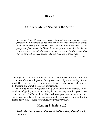### <span id="page-59-0"></span>**Our Inheritance Sealed in the Spirit**

*In whom [Christ] also we have obtained an inheritance, being predestinated according to the purpose of him who worketh all things after the counsel of his own will: That we should be to the praise of his glory, who first trusted in Christ. In whom ye also trusted, after that ye heard the word of truth, the gospel of your salvation: in whom also after that ye believed, ye were sealed with that holy Spirit of promise.*

*Ephesians 1:11-13*

**G**od says you are not of this world; you have been delivered from the corruption of the world; you are being transformed by the renewing of your mind. God says that you are a royal priesthood, a holy people, belonging to the building and Christ is the great cornerstone.

The Holy Spirit is coming forth to help you claim your inheritance. Do not be afraid of getting rich or of coming in, but be very afraid if you do not come in. Have God's mind on this. God says you have to overcome the world; you must have this incorruptible, undefiled position now within the human body, transforming your mind, even your very nature.

## **Healing Principle #27**

*Realize that the supernatural power of God is working through you by His Spirit.*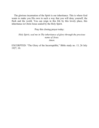The glorious incarnation of the Spirit is our inheritance. This is where God wants to make you His own in such a way that you will deny yourself, the flesh and the world. You can reign in this life by this lovely place, this inheritance in Christ Jesus sealed by the Holy Spirit.

Pray this closing prayer today:

*Holy Spirit, seal me in Thy inheritance of glory through the precious name of Jesus. Amen.*

EXCERPTED: "The Glory of the Incorruptible," Bible study no. 13, 26 July 1927, 10.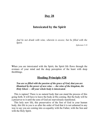### <span id="page-61-0"></span>**Intoxicated by the Spirit**

*And be not drunk with wine, wherein is excess; but be filled with the Spirit.*

*Ephesians 5:18*

**W**hen you are intoxicated with the Spirit, the Spirit life flows through the avenues of your mind and the deep perception of the heart with deep throbbings.

## **Healing Principle #28**

*You are so filled with the passion of the grace of God, that you are illumined by the power of new wine — the wine of the kingdom, the Holy Ghost — till your whole body is intoxicated.*

This is rapture! There is no natural body that can stand the process of this going forth. It will have to leave the body at His coming. But the body will be a preserver to it until the sons of God are marvelously manifested.

This holy new life, this preservative of the Son of God in your human body, this life in you is so after the order of God that it is not ashamed in any way to say you are coming into co-equality with the Father, with the Son and with the Holy Spirit.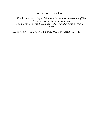Pray this closing prayer today:

*Thank You for allowing my life to be filled with the preservative of Your Son's presence within my human body. Fill and intoxicate me, O Holy Spirit, that I might live and move in Thee. Amen.*

EXCERPTED: "This Grace," Bible study no. 26, 19 August 1927, 11.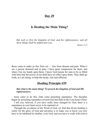#### <span id="page-63-0"></span>**Is Healing the Main Thing?**

*But seek ye first the kingdom of God, and his righteousness; and all these things shall be added unto you.*

*Matthew 6:33*

**Jesus came to make us free from sin — free from disease and pain. When I** see a person diseased and in pain, I have great compassion for them, and when I lay my hands upon them, I know God means for men to be so filled with Him that the power of sin shall have no effect upon them. They shall go forth, as I am doing, to help the needy, sick and afflicted.

#### **Healing Principle #29**

#### *But what is the main thing? To preach the kingdom of God and His righteousness.*

Jesus came to do this. John came preaching repentance. The disciples began by preaching repentance toward God and faith in the Lord Jesus Christ.

I tell you, beloved, if you have really been changed by God, there is a repentance in your heart never to be repented of.

Through the revelation of the Word of God, we find that divine healing is solely for the glory of God and salvation is to make you to know you now have to be inhabited by another, even God, and you have to walk with God in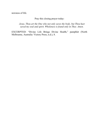newness of life.

Pray this closing prayer today:

*Jesus, Thou art the One who not only saves the body, but Thou hast saved my soul and spirit. Wholeness is found only in Thee. Amen.*

EXCERPTED: "Divine Life Brings Divine Health," pamphlet (North Melbourne, Australia: Victory Press, n.d.), 8.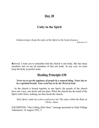## **Unity in the Spirit**

<span id="page-65-0"></span>*Endeavoring to keep the unity of the Spirit in the bond of peace. Ephesians 4:3*

**B**eloved, I want you to remember that the church is one body. She has many members, but we are all members of that one body. At any cost, we must keep the body in perfect unity.

# **Healing Principle #30**

#### *Never try to get the applause of people by a natural thing. Yours has to be a spiritual breath. Your word has to be the Word of God.*

As the church is bound together in one Spirit, the people of the church have one voice, one desire and one plan. When the church has the mind of the Spirit with Christ, nothing can then break the church.

*Holy Spirit, make me a force and power for Thy unity within the Body of Christ. Amen.*

EXCERPTED: "Our Calling (Part One)," message presented at Glad Tidings Tabernacle, 18 August 1922, 5.